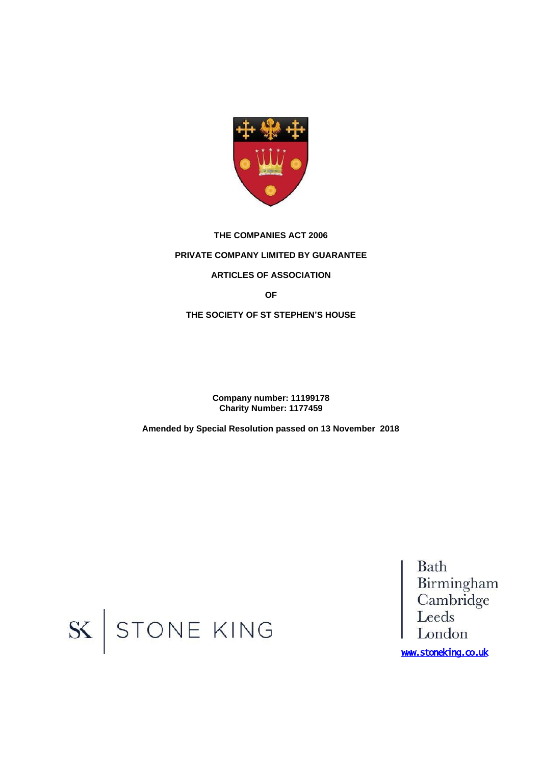

# **THE COMPANIES ACT 2006 PRIVATE COMPANY LIMITED BY GUARANTEE ARTICLES OF ASSOCIATION OF**

**THE SOCIETY OF ST STEPHEN'S HOUSE**

**Company number: 11199178 Charity Number: 1177459**

**Amended by Special Resolution passed on 13 November 2018**

Bath Batti<br>Birmingham<br>Cambridge<br>Leeds London

www.stoneking.co.uk

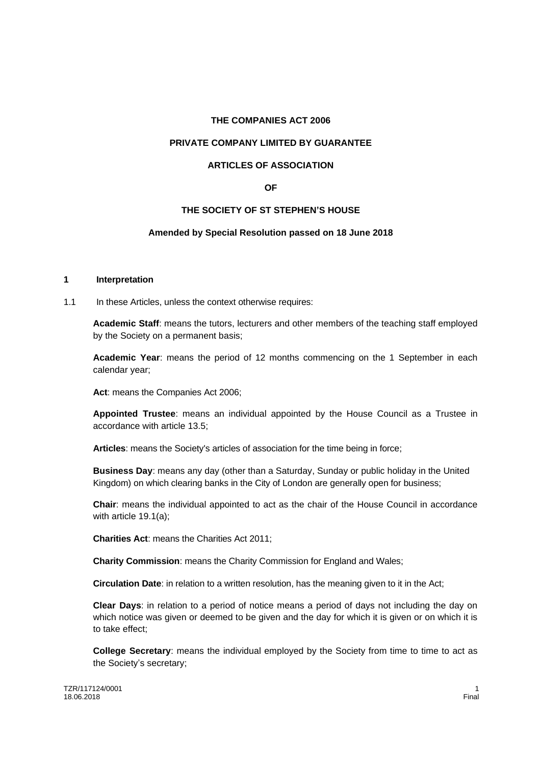#### **THE COMPANIES ACT 2006**

# **PRIVATE COMPANY LIMITED BY GUARANTEE**

# **ARTICLES OF ASSOCIATION**

# **OF**

# **THE SOCIETY OF ST STEPHEN'S HOUSE**

#### **Amended by Special Resolution passed on 18 June 2018**

# **1 Interpretation**

1.1 In these Articles, unless the context otherwise requires:

**Academic Staff**: means the tutors, lecturers and other members of the teaching staff employed by the Society on a permanent basis;

**Academic Year**: means the period of 12 months commencing on the 1 September in each calendar year;

**Act**: means the Companies Act 2006;

**Appointed Trustee**: means an individual appointed by the House Council as a Trustee in accordance with article 13.5;

**Articles**: means the Society's articles of association for the time being in force;

**Business Day**: means any day (other than a Saturday, Sunday or public holiday in the United Kingdom) on which clearing banks in the City of London are generally open for business;

**Chair**: means the individual appointed to act as the chair of the House Council in accordance with article 19.1(a);

**Charities Act**: means the Charities Act 2011;

**Charity Commission**: means the Charity Commission for England and Wales;

**Circulation Date**: in relation to a written resolution, has the meaning given to it in the Act;

**Clear Days**: in relation to a period of notice means a period of days not including the day on which notice was given or deemed to be given and the day for which it is given or on which it is to take effect;

**College Secretary:** means the individual employed by the Society from time to time to act as the Society's secretary;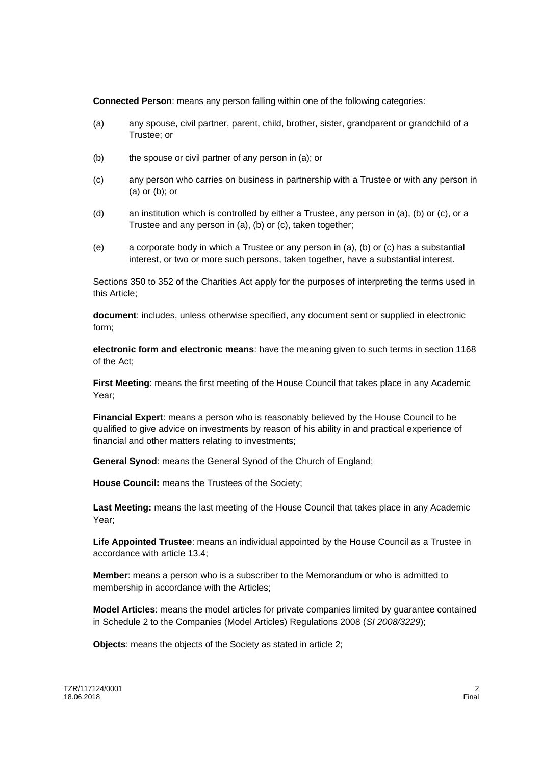**Connected Person**: means any person falling within one of the following categories:

- (a) any spouse, civil partner, parent, child, brother, sister, grandparent or grandchild of a Trustee; or
- (b) the spouse or civil partner of any person in (a); or
- (c) any person who carries on business in partnership with a Trustee or with any person in (a) or (b); or
- (d) an institution which is controlled by either a Trustee, any person in (a), (b) or (c), or a Trustee and any person in (a), (b) or (c), taken together;
- (e) a corporate body in which a Trustee or any person in (a), (b) or (c) has a substantial interest, or two or more such persons, taken together, have a substantial interest.

Sections 350 to 352 of the Charities Act apply for the purposes of interpreting the terms used in this Article;

**document**: includes, unless otherwise specified, any document sent or supplied in electronic form;

**electronic form and electronic means**: have the meaning given to such terms in section 1168 of the Act;

**First Meeting**: means the first meeting of the House Council that takes place in any Academic Year;

**Financial Expert**: means a person who is reasonably believed by the House Council to be qualified to give advice on investments by reason of his ability in and practical experience of financial and other matters relating to investments;

**General Synod**: means the General Synod of the Church of England;

**House Council:** means the Trustees of the Society;

**Last Meeting:** means the last meeting of the House Council that takes place in any Academic Year;

**Life Appointed Trustee**: means an individual appointed by the House Council as a Trustee in accordance with article 13.4;

**Member**: means a person who is a subscriber to the Memorandum or who is admitted to membership in accordance with the Articles;

**Model Articles**: means the model articles for private companies limited by guarantee contained in Schedule 2 to the Companies (Model Articles) Regulations 2008 (*SI 2008/3229*);

**Objects**: means the objects of the Society as stated in article 2;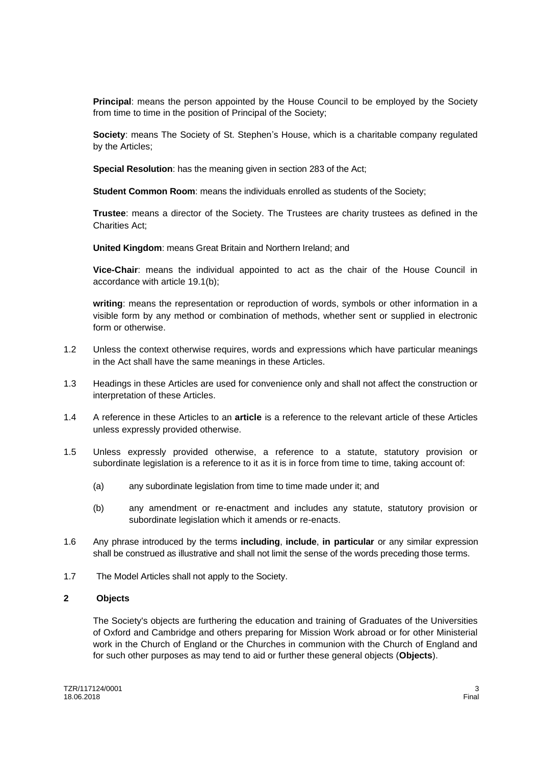**Principal**: means the person appointed by the House Council to be employed by the Society from time to time in the position of Principal of the Society;

**Society**: means The Society of St. Stephen's House, which is a charitable company regulated by the Articles;

**Special Resolution**: has the meaning given in section 283 of the Act;

**Student Common Room**: means the individuals enrolled as students of the Society;

**Trustee**: means a director of the Society. The Trustees are charity trustees as defined in the Charities Act;

**United Kingdom**: means Great Britain and Northern Ireland; and

**Vice-Chair**: means the individual appointed to act as the chair of the House Council in accordance with article 19.1(b);

**writing**: means the representation or reproduction of words, symbols or other information in a visible form by any method or combination of methods, whether sent or supplied in electronic form or otherwise.

- 1.2 Unless the context otherwise requires, words and expressions which have particular meanings in the Act shall have the same meanings in these Articles.
- 1.3 Headings in these Articles are used for convenience only and shall not affect the construction or interpretation of these Articles.
- 1.4 A reference in these Articles to an **article** is a reference to the relevant article of these Articles unless expressly provided otherwise.
- 1.5 Unless expressly provided otherwise, a reference to a statute, statutory provision or subordinate legislation is a reference to it as it is in force from time to time, taking account of:
	- (a) any subordinate legislation from time to time made under it; and
	- (b) any amendment or re-enactment and includes any statute, statutory provision or subordinate legislation which it amends or re-enacts.
- 1.6 Any phrase introduced by the terms **including**, **include**, **in particular** or any similar expression shall be construed as illustrative and shall not limit the sense of the words preceding those terms.
- 1.7 The Model Articles shall not apply to the Society.

#### **2 Objects**

The Society's objects are furthering the education and training of Graduates of the Universities of Oxford and Cambridge and others preparing for Mission Work abroad or for other Ministerial work in the Church of England or the Churches in communion with the Church of England and for such other purposes as may tend to aid or further these general objects (**Objects**).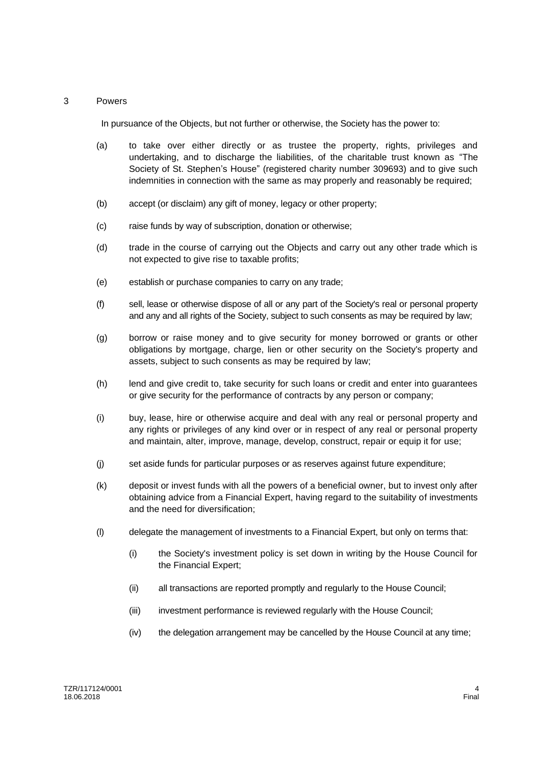# 3 Powers

In pursuance of the Objects, but not further or otherwise, the Society has the power to:

- (a) to take over either directly or as trustee the property, rights, privileges and undertaking, and to discharge the liabilities, of the charitable trust known as "The Society of St. Stephen's House" (registered charity number 309693) and to give such indemnities in connection with the same as may properly and reasonably be required;
- (b) accept (or disclaim) any gift of money, legacy or other property;
- (c) raise funds by way of subscription, donation or otherwise;
- (d) trade in the course of carrying out the Objects and carry out any other trade which is not expected to give rise to taxable profits;
- (e) establish or purchase companies to carry on any trade;
- (f) sell, lease or otherwise dispose of all or any part of the Society's real or personal property and any and all rights of the Society, subject to such consents as may be required by law;
- (g) borrow or raise money and to give security for money borrowed or grants or other obligations by mortgage, charge, lien or other security on the Society's property and assets, subject to such consents as may be required by law;
- (h) lend and give credit to, take security for such loans or credit and enter into guarantees or give security for the performance of contracts by any person or company;
- (i) buy, lease, hire or otherwise acquire and deal with any real or personal property and any rights or privileges of any kind over or in respect of any real or personal property and maintain, alter, improve, manage, develop, construct, repair or equip it for use;
- (j) set aside funds for particular purposes or as reserves against future expenditure;
- (k) deposit or invest funds with all the powers of a beneficial owner, but to invest only after obtaining advice from a Financial Expert, having regard to the suitability of investments and the need for diversification;
- (l) delegate the management of investments to a Financial Expert, but only on terms that:
	- (i) the Society's investment policy is set down in writing by the House Council for the Financial Expert;
	- (ii) all transactions are reported promptly and regularly to the House Council;
	- (iii) investment performance is reviewed regularly with the House Council;
	- (iv) the delegation arrangement may be cancelled by the House Council at any time;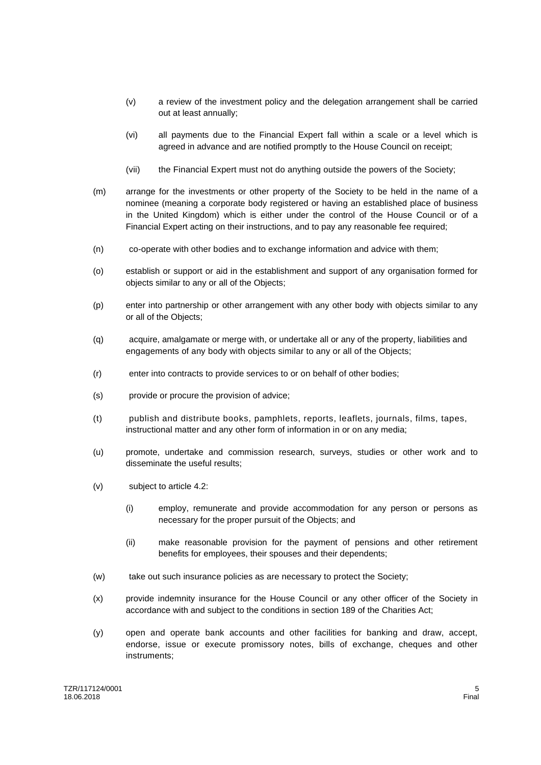- (v) a review of the investment policy and the delegation arrangement shall be carried out at least annually;
- (vi) all payments due to the Financial Expert fall within a scale or a level which is agreed in advance and are notified promptly to the House Council on receipt;
- (vii) the Financial Expert must not do anything outside the powers of the Society;
- (m) arrange for the investments or other property of the Society to be held in the name of a nominee (meaning a corporate body registered or having an established place of business in the United Kingdom) which is either under the control of the House Council or of a Financial Expert acting on their instructions, and to pay any reasonable fee required;
- (n) co-operate with other bodies and to exchange information and advice with them;
- (o) establish or support or aid in the establishment and support of any organisation formed for objects similar to any or all of the Objects;
- (p) enter into partnership or other arrangement with any other body with objects similar to any or all of the Objects;
- (q) acquire, amalgamate or merge with, or undertake all or any of the property, liabilities and engagements of any body with objects similar to any or all of the Objects;
- (r) enter into contracts to provide services to or on behalf of other bodies;
- (s) provide or procure the provision of advice;
- (t) publish and distribute books, pamphlets, reports, leaflets, journals, films, tapes, instructional matter and any other form of information in or on any media;
- (u) promote, undertake and commission research, surveys, studies or other work and to disseminate the useful results;
- (v) subject to article 4.2:
	- (i) employ, remunerate and provide accommodation for any person or persons as necessary for the proper pursuit of the Objects; and
	- (ii) make reasonable provision for the payment of pensions and other retirement benefits for employees, their spouses and their dependents;
- (w) take out such insurance policies as are necessary to protect the Society;
- (x) provide indemnity insurance for the House Council or any other officer of the Society in accordance with and subject to the conditions in section 189 of the Charities Act;
- (y) open and operate bank accounts and other facilities for banking and draw, accept, endorse, issue or execute promissory notes, bills of exchange, cheques and other instruments;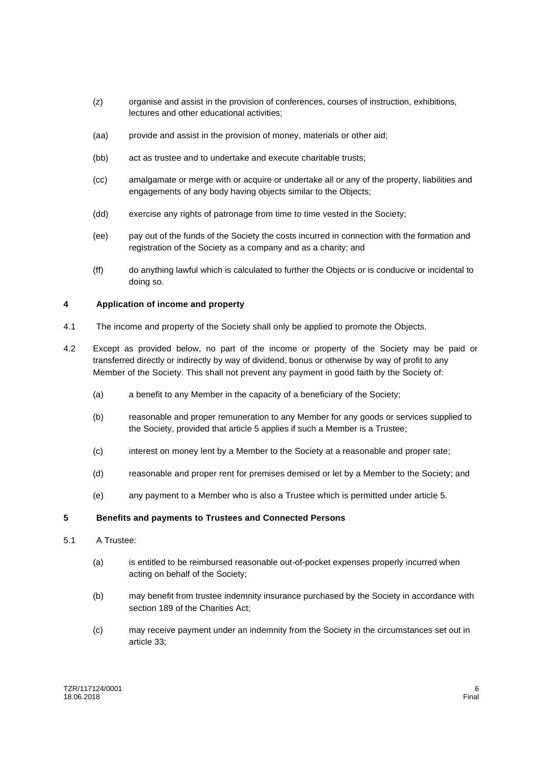- (z) organise and assist in the provision of conferences, courses of instruction, exhibitions, lectures and other educational activities;
- (aa) provide and assist in the provision of money, materials or other aid;
- (bb) act as trustee and to undertake and execute charitable trusts;
- (cc) amalgamate or merge with or acquire or undertake all or any of the property, liabilities and engagements of any body having objects similar to the Objects;
- (dd) exercise any rights of patronage from time to time vested in the Society;
- (ee) pay out of the funds of the Society the costs incurred in connection with the formation and registration of the Society as a company and as a charity; and
- (ff) do anything lawful which is calculated to further the Objects or is conducive or incidental to doing so.

# **4 Application of income and property**

- 4.1 The income and property of the Society shall only be applied to promote the Objects.
- 4.2 Except as provided below, no part of the income or property of the Society may be paid or transferred directly or indirectly by way of dividend, bonus or otherwise by way of profit to any Member of the Society. This shall not prevent any payment in good faith by the Society of:
	- (a) a benefit to any Member in the capacity of a beneficiary of the Society;
	- (b) reasonable and proper remuneration to any Member for any goods or services supplied to the Society, provided that article 5 applies if such a Member is a Trustee;
	- (c) interest on money lent by a Member to the Society at a reasonable and proper rate;
	- (d) reasonable and proper rent for premises demised or let by a Member to the Society; and
	- (e) any payment to a Member who is also a Trustee which is permitted under article 5.

#### **5 Benefits and payments to Trustees and Connected Persons**

- 5.1 A Trustee:
	- (a) is entitled to be reimbursed reasonable out-of-pocket expenses properly incurred when acting on behalf of the Society;
	- (b) may benefit from trustee indemnity insurance purchased by the Society in accordance with section 189 of the Charities Act;
	- (c) may receive payment under an indemnity from the Society in the circumstances set out in article 33;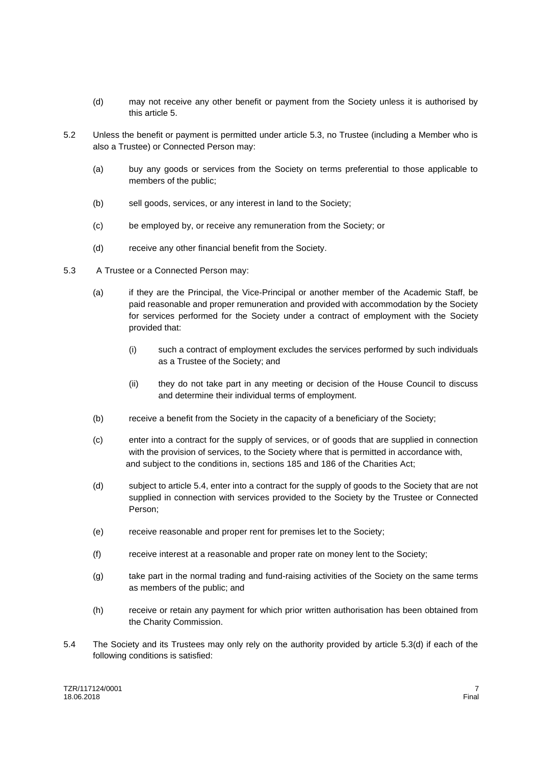- (d) may not receive any other benefit or payment from the Society unless it is authorised by this article 5.
- 5.2 Unless the benefit or payment is permitted under article 5.3, no Trustee (including a Member who is also a Trustee) or Connected Person may:
	- (a) buy any goods or services from the Society on terms preferential to those applicable to members of the public;
	- (b) sell goods, services, or any interest in land to the Society;
	- (c) be employed by, or receive any remuneration from the Society; or
	- (d) receive any other financial benefit from the Society.
- 5.3 A Trustee or a Connected Person may:
	- (a) if they are the Principal, the Vice-Principal or another member of the Academic Staff, be paid reasonable and proper remuneration and provided with accommodation by the Society for services performed for the Society under a contract of employment with the Society provided that:
		- (i) such a contract of employment excludes the services performed by such individuals as a Trustee of the Society; and
		- (ii) they do not take part in any meeting or decision of the House Council to discuss and determine their individual terms of employment.
	- (b) receive a benefit from the Society in the capacity of a beneficiary of the Society;
	- (c) enter into a contract for the supply of services, or of goods that are supplied in connection with the provision of services, to the Society where that is permitted in accordance with, and subject to the conditions in, sections 185 and 186 of the Charities Act;
	- (d) subject to article 5.4, enter into a contract for the supply of goods to the Society that are not supplied in connection with services provided to the Society by the Trustee or Connected Person;
	- (e) receive reasonable and proper rent for premises let to the Society;
	- (f) receive interest at a reasonable and proper rate on money lent to the Society;
	- (g) take part in the normal trading and fund-raising activities of the Society on the same terms as members of the public; and
	- (h) receive or retain any payment for which prior written authorisation has been obtained from the Charity Commission.
- 5.4 The Society and its Trustees may only rely on the authority provided by article 5.3(d) if each of the following conditions is satisfied: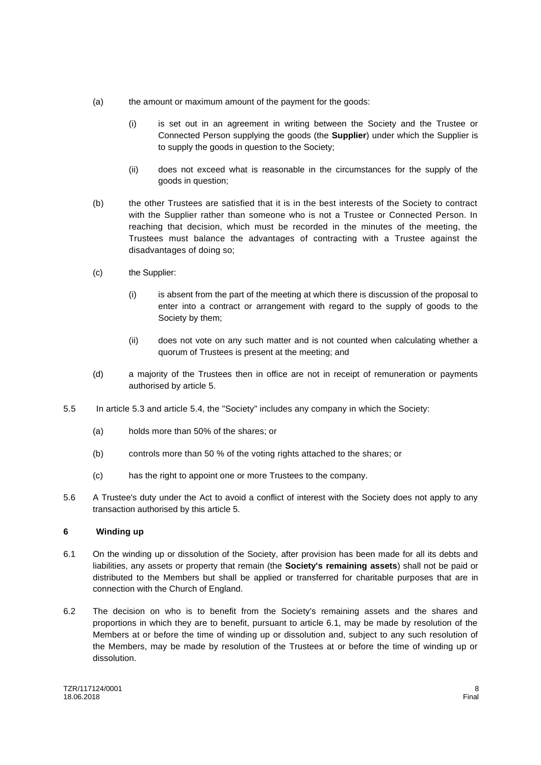- (a) the amount or maximum amount of the payment for the goods:
	- (i) is set out in an agreement in writing between the Society and the Trustee or Connected Person supplying the goods (the **Supplier**) under which the Supplier is to supply the goods in question to the Society;
	- (ii) does not exceed what is reasonable in the circumstances for the supply of the goods in question;
- (b) the other Trustees are satisfied that it is in the best interests of the Society to contract with the Supplier rather than someone who is not a Trustee or Connected Person. In reaching that decision, which must be recorded in the minutes of the meeting, the Trustees must balance the advantages of contracting with a Trustee against the disadvantages of doing so;
- (c) the Supplier:
	- (i) is absent from the part of the meeting at which there is discussion of the proposal to enter into a contract or arrangement with regard to the supply of goods to the Society by them;
	- (ii) does not vote on any such matter and is not counted when calculating whether a quorum of Trustees is present at the meeting; and
- (d) a majority of the Trustees then in office are not in receipt of remuneration or payments authorised by article 5.
- 5.5 In article 5.3 and article 5.4, the "Society" includes any company in which the Society:
	- (a) holds more than 50% of the shares; or
	- (b) controls more than 50 % of the voting rights attached to the shares; or
	- (c) has the right to appoint one or more Trustees to the company.
- 5.6 A Trustee's duty under the Act to avoid a conflict of interest with the Society does not apply to any transaction authorised by this article 5.

# **6 Winding up**

- 6.1 On the winding up or dissolution of the Society, after provision has been made for all its debts and liabilities, any assets or property that remain (the **Society's remaining assets**) shall not be paid or distributed to the Members but shall be applied or transferred for charitable purposes that are in connection with the Church of England.
- 6.2 The decision on who is to benefit from the Society's remaining assets and the shares and proportions in which they are to benefit, pursuant to article 6.1, may be made by resolution of the Members at or before the time of winding up or dissolution and, subject to any such resolution of the Members, may be made by resolution of the Trustees at or before the time of winding up or dissolution.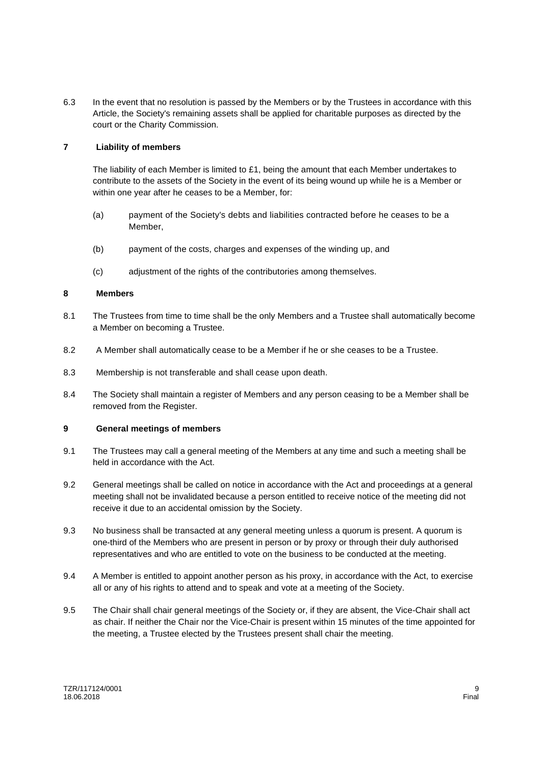6.3 In the event that no resolution is passed by the Members or by the Trustees in accordance with this Article, the Society's remaining assets shall be applied for charitable purposes as directed by the court or the Charity Commission.

# **7 Liability of members**

The liability of each Member is limited to £1, being the amount that each Member undertakes to contribute to the assets of the Society in the event of its being wound up while he is a Member or within one year after he ceases to be a Member, for:

- (a) payment of the Society's debts and liabilities contracted before he ceases to be a Member,
- (b) payment of the costs, charges and expenses of the winding up, and
- (c) adjustment of the rights of the contributories among themselves.

# **8 Members**

- 8.1 The Trustees from time to time shall be the only Members and a Trustee shall automatically become a Member on becoming a Trustee.
- 8.2 A Member shall automatically cease to be a Member if he or she ceases to be a Trustee.
- 8.3 Membership is not transferable and shall cease upon death.
- 8.4 The Society shall maintain a register of Members and any person ceasing to be a Member shall be removed from the Register.

#### **9 General meetings of members**

- 9.1 The Trustees may call a general meeting of the Members at any time and such a meeting shall be held in accordance with the Act.
- 9.2 General meetings shall be called on notice in accordance with the Act and proceedings at a general meeting shall not be invalidated because a person entitled to receive notice of the meeting did not receive it due to an accidental omission by the Society.
- 9.3 No business shall be transacted at any general meeting unless a quorum is present. A quorum is one-third of the Members who are present in person or by proxy or through their duly authorised representatives and who are entitled to vote on the business to be conducted at the meeting.
- 9.4 A Member is entitled to appoint another person as his proxy, in accordance with the Act, to exercise all or any of his rights to attend and to speak and vote at a meeting of the Society.
- 9.5 The Chair shall chair general meetings of the Society or, if they are absent, the Vice-Chair shall act as chair. If neither the Chair nor the Vice-Chair is present within 15 minutes of the time appointed for the meeting, a Trustee elected by the Trustees present shall chair the meeting.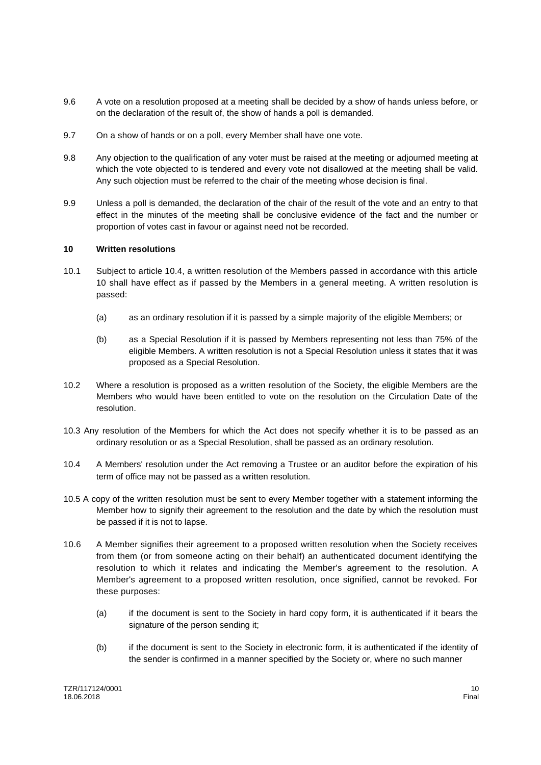- 9.6 A vote on a resolution proposed at a meeting shall be decided by a show of hands unless before, or on the declaration of the result of, the show of hands a poll is demanded.
- 9.7 On a show of hands or on a poll, every Member shall have one vote.
- 9.8 Any objection to the qualification of any voter must be raised at the meeting or adjourned meeting at which the vote objected to is tendered and every vote not disallowed at the meeting shall be valid. Any such objection must be referred to the chair of the meeting whose decision is final.
- 9.9 Unless a poll is demanded, the declaration of the chair of the result of the vote and an entry to that effect in the minutes of the meeting shall be conclusive evidence of the fact and the number or proportion of votes cast in favour or against need not be recorded.

#### **10 Written resolutions**

- 10.1 Subject to article 10.4, a written resolution of the Members passed in accordance with this article 10 shall have effect as if passed by the Members in a general meeting. A written resolution is passed:
	- (a) as an ordinary resolution if it is passed by a simple majority of the eligible Members; or
	- (b) as a Special Resolution if it is passed by Members representing not less than 75% of the eligible Members. A written resolution is not a Special Resolution unless it states that it was proposed as a Special Resolution.
- 10.2 Where a resolution is proposed as a written resolution of the Society, the eligible Members are the Members who would have been entitled to vote on the resolution on the Circulation Date of the resolution.
- 10.3 Any resolution of the Members for which the Act does not specify whether it is to be passed as an ordinary resolution or as a Special Resolution, shall be passed as an ordinary resolution.
- 10.4 A Members' resolution under the Act removing a Trustee or an auditor before the expiration of his term of office may not be passed as a written resolution.
- 10.5 A copy of the written resolution must be sent to every Member together with a statement informing the Member how to signify their agreement to the resolution and the date by which the resolution must be passed if it is not to lapse.
- 10.6 A Member signifies their agreement to a proposed written resolution when the Society receives from them (or from someone acting on their behalf) an authenticated document identifying the resolution to which it relates and indicating the Member's agreement to the resolution. A Member's agreement to a proposed written resolution, once signified, cannot be revoked. For these purposes:
	- (a) if the document is sent to the Society in hard copy form, it is authenticated if it bears the signature of the person sending it;
	- (b) if the document is sent to the Society in electronic form, it is authenticated if the identity of the sender is confirmed in a manner specified by the Society or, where no such manner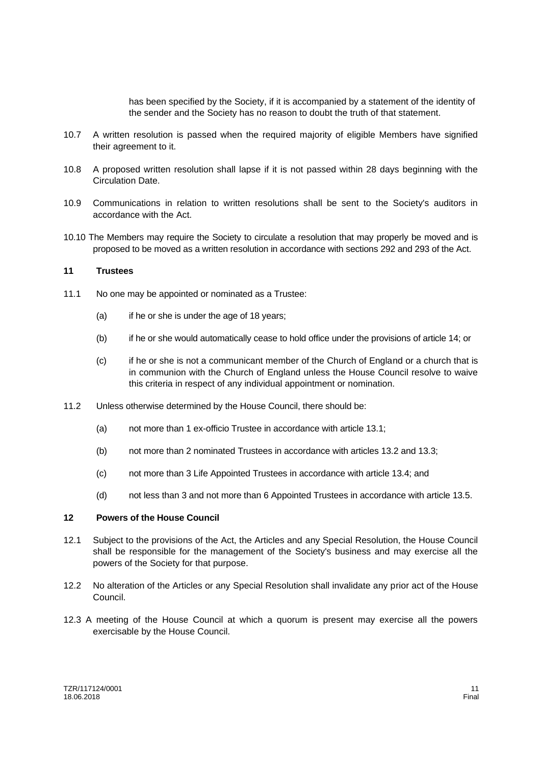has been specified by the Society, if it is accompanied by a statement of the identity of the sender and the Society has no reason to doubt the truth of that statement.

- 10.7 A written resolution is passed when the required majority of eligible Members have signified their agreement to it.
- 10.8 A proposed written resolution shall lapse if it is not passed within 28 days beginning with the Circulation Date.
- 10.9 Communications in relation to written resolutions shall be sent to the Society's auditors in accordance with the Act.
- 10.10 The Members may require the Society to circulate a resolution that may properly be moved and is proposed to be moved as a written resolution in accordance with sections 292 and 293 of the Act.

#### **11 Trustees**

- 11.1 No one may be appointed or nominated as a Trustee:
	- (a) if he or she is under the age of 18 years;
	- (b) if he or she would automatically cease to hold office under the provisions of article 14; or
	- (c) if he or she is not a communicant member of the Church of England or a church that is in communion with the Church of England unless the House Council resolve to waive this criteria in respect of any individual appointment or nomination.
- 11.2 Unless otherwise determined by the House Council, there should be:
	- (a) not more than 1 ex-officio Trustee in accordance with article 13.1;
	- (b) not more than 2 nominated Trustees in accordance with articles 13.2 and 13.3;
	- (c) not more than 3 Life Appointed Trustees in accordance with article 13.4; and
	- (d) not less than 3 and not more than 6 Appointed Trustees in accordance with article 13.5.

# **12 Powers of the House Council**

- 12.1 Subject to the provisions of the Act, the Articles and any Special Resolution, the House Council shall be responsible for the management of the Society's business and may exercise all the powers of the Society for that purpose.
- 12.2 No alteration of the Articles or any Special Resolution shall invalidate any prior act of the House Council.
- 12.3 A meeting of the House Council at which a quorum is present may exercise all the powers exercisable by the House Council.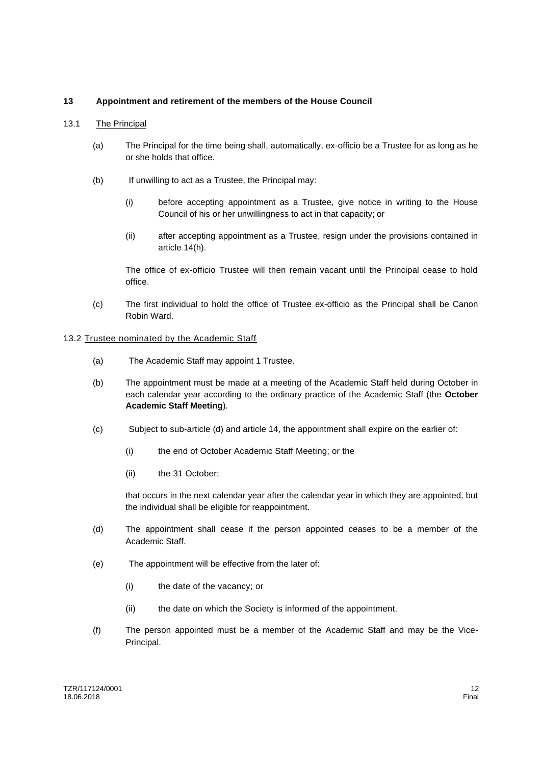# **13 Appointment and retirement of the members of the House Council**

#### 13.1 The Principal

- (a) The Principal for the time being shall, automatically, ex-officio be a Trustee for as long as he or she holds that office.
- (b) If unwilling to act as a Trustee, the Principal may:
	- (i) before accepting appointment as a Trustee, give notice in writing to the House Council of his or her unwillingness to act in that capacity; or
	- (ii) after accepting appointment as a Trustee, resign under the provisions contained in article 14(h).

The office of ex-officio Trustee will then remain vacant until the Principal cease to hold office.

(c) The first individual to hold the office of Trustee ex-officio as the Principal shall be Canon Robin Ward.

#### 13.2 Trustee nominated by the Academic Staff

- (a) The Academic Staff may appoint 1 Trustee.
- (b) The appointment must be made at a meeting of the Academic Staff held during October in each calendar year according to the ordinary practice of the Academic Staff (the **October Academic Staff Meeting**).
- (c) Subject to sub-article (d) and article 14, the appointment shall expire on the earlier of:
	- (i) the end of October Academic Staff Meeting; or the
	- (ii) the 31 October;

that occurs in the next calendar year after the calendar year in which they are appointed, but the individual shall be eligible for reappointment.

- (d) The appointment shall cease if the person appointed ceases to be a member of the Academic Staff.
- (e) The appointment will be effective from the later of:
	- (i) the date of the vacancy; or
	- (ii) the date on which the Society is informed of the appointment.
- (f) The person appointed must be a member of the Academic Staff and may be the Vice-Principal.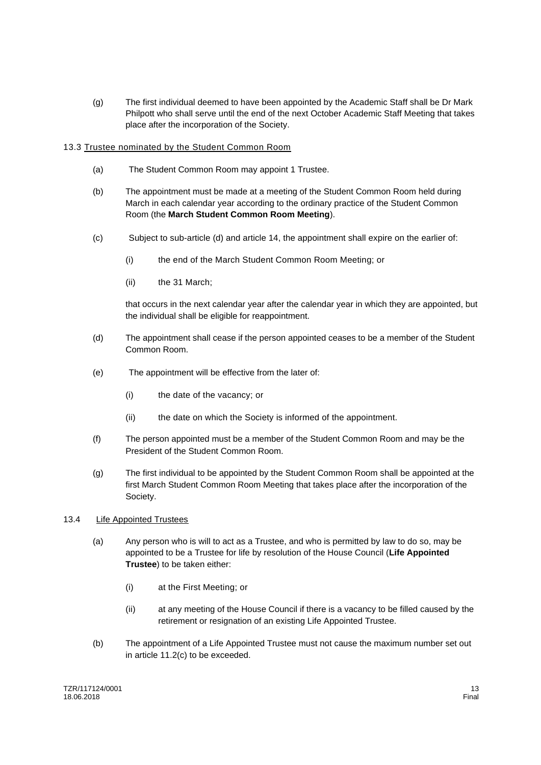(g) The first individual deemed to have been appointed by the Academic Staff shall be Dr Mark Philpott who shall serve until the end of the next October Academic Staff Meeting that takes place after the incorporation of the Society.

# 13.3 Trustee nominated by the Student Common Room

- (a) The Student Common Room may appoint 1 Trustee.
- (b) The appointment must be made at a meeting of the Student Common Room held during March in each calendar year according to the ordinary practice of the Student Common Room (the **March Student Common Room Meeting**).
- (c) Subject to sub-article (d) and article 14, the appointment shall expire on the earlier of:
	- (i) the end of the March Student Common Room Meeting; or
	- (ii) the 31 March;

that occurs in the next calendar year after the calendar year in which they are appointed, but the individual shall be eligible for reappointment.

- (d) The appointment shall cease if the person appointed ceases to be a member of the Student Common Room.
- (e) The appointment will be effective from the later of:
	- (i) the date of the vacancy; or
	- (ii) the date on which the Society is informed of the appointment.
- (f) The person appointed must be a member of the Student Common Room and may be the President of the Student Common Room.
- (g) The first individual to be appointed by the Student Common Room shall be appointed at the first March Student Common Room Meeting that takes place after the incorporation of the Society.

# 13.4 **Life Appointed Trustees**

- (a) Any person who is will to act as a Trustee, and who is permitted by law to do so, may be appointed to be a Trustee for life by resolution of the House Council (**Life Appointed Trustee**) to be taken either:
	- (i) at the First Meeting; or
	- (ii) at any meeting of the House Council if there is a vacancy to be filled caused by the retirement or resignation of an existing Life Appointed Trustee.
- (b) The appointment of a Life Appointed Trustee must not cause the maximum number set out in article 11.2(c) to be exceeded.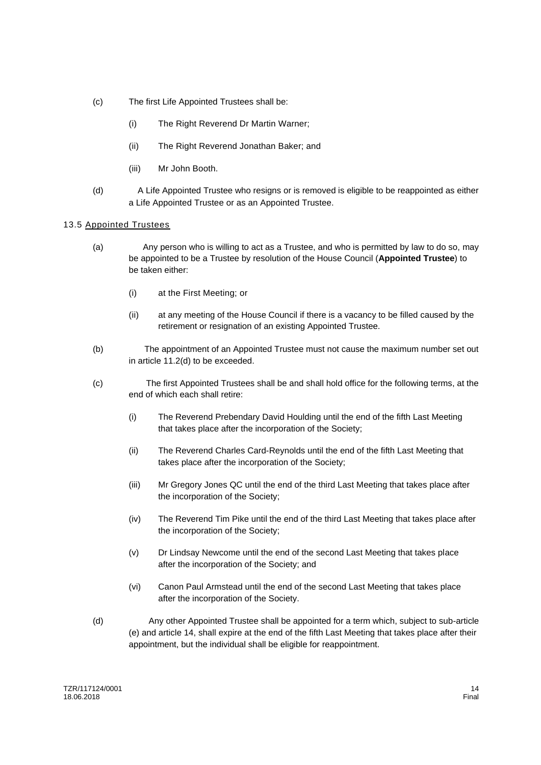- (c) The first Life Appointed Trustees shall be:
	- (i) The Right Reverend Dr Martin Warner;
	- (ii) The Right Reverend Jonathan Baker; and
	- (iii) Mr John Booth.
- (d) A Life Appointed Trustee who resigns or is removed is eligible to be reappointed as either a Life Appointed Trustee or as an Appointed Trustee.

#### 13.5 Appointed Trustees

- (a) Any person who is willing to act as a Trustee, and who is permitted by law to do so, may be appointed to be a Trustee by resolution of the House Council (**Appointed Trustee**) to be taken either:
	- (i) at the First Meeting; or
	- (ii) at any meeting of the House Council if there is a vacancy to be filled caused by the retirement or resignation of an existing Appointed Trustee.
- (b) The appointment of an Appointed Trustee must not cause the maximum number set out in article 11.2(d) to be exceeded.
- (c) The first Appointed Trustees shall be and shall hold office for the following terms, at the end of which each shall retire:
	- (i) The Reverend Prebendary David Houlding until the end of the fifth Last Meeting that takes place after the incorporation of the Society;
	- (ii) The Reverend Charles Card-Reynolds until the end of the fifth Last Meeting that takes place after the incorporation of the Society;
	- (iii) Mr Gregory Jones QC until the end of the third Last Meeting that takes place after the incorporation of the Society;
	- (iv) The Reverend Tim Pike until the end of the third Last Meeting that takes place after the incorporation of the Society;
	- (v) Dr Lindsay Newcome until the end of the second Last Meeting that takes place after the incorporation of the Society; and
	- (vi) Canon Paul Armstead until the end of the second Last Meeting that takes place after the incorporation of the Society.
- (d) Any other Appointed Trustee shall be appointed for a term which, subject to sub-article (e) and article 14, shall expire at the end of the fifth Last Meeting that takes place after their appointment, but the individual shall be eligible for reappointment.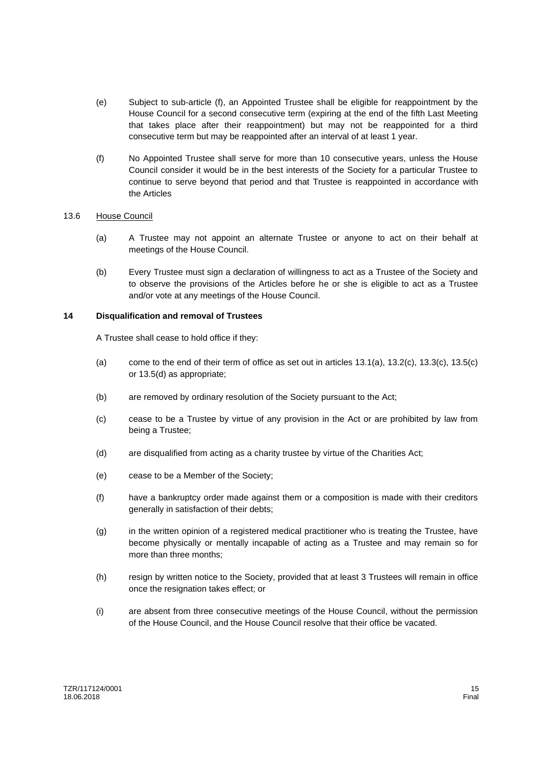- (e) Subject to sub-article (f), an Appointed Trustee shall be eligible for reappointment by the House Council for a second consecutive term (expiring at the end of the fifth Last Meeting that takes place after their reappointment) but may not be reappointed for a third consecutive term but may be reappointed after an interval of at least 1 year.
- (f) No Appointed Trustee shall serve for more than 10 consecutive years, unless the House Council consider it would be in the best interests of the Society for a particular Trustee to continue to serve beyond that period and that Trustee is reappointed in accordance with the Articles

#### 13.6 House Council

- (a) A Trustee may not appoint an alternate Trustee or anyone to act on their behalf at meetings of the House Council.
- (b) Every Trustee must sign a declaration of willingness to act as a Trustee of the Society and to observe the provisions of the Articles before he or she is eligible to act as a Trustee and/or vote at any meetings of the House Council.

# **14 Disqualification and removal of Trustees**

A Trustee shall cease to hold office if they:

- (a) come to the end of their term of office as set out in articles 13.1(a), 13.2(c), 13.3(c), 13.5(c) or 13.5(d) as appropriate;
- (b) are removed by ordinary resolution of the Society pursuant to the Act;
- (c) cease to be a Trustee by virtue of any provision in the Act or are prohibited by law from being a Trustee;
- (d) are disqualified from acting as a charity trustee by virtue of the Charities Act;
- (e) cease to be a Member of the Society;
- (f) have a bankruptcy order made against them or a composition is made with their creditors generally in satisfaction of their debts;
- (g) in the written opinion of a registered medical practitioner who is treating the Trustee, have become physically or mentally incapable of acting as a Trustee and may remain so for more than three months;
- (h) resign by written notice to the Society, provided that at least 3 Trustees will remain in office once the resignation takes effect; or
- (i) are absent from three consecutive meetings of the House Council, without the permission of the House Council, and the House Council resolve that their office be vacated.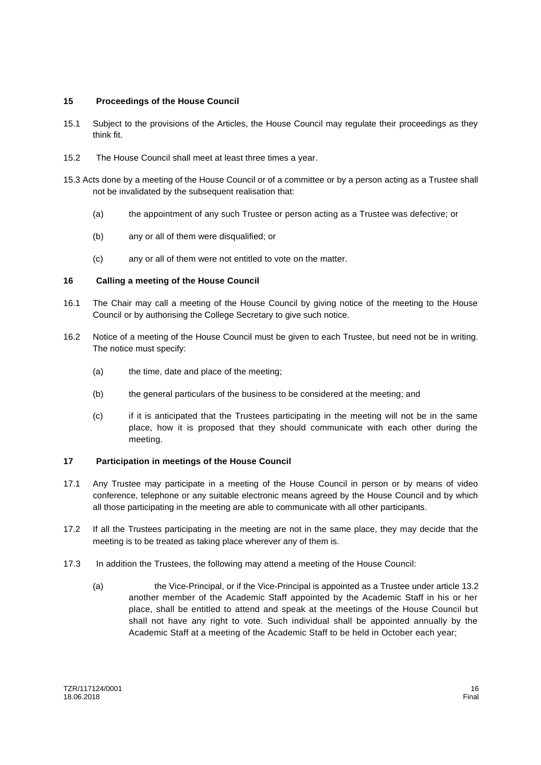# **15 Proceedings of the House Council**

- 15.1 Subject to the provisions of the Articles, the House Council may regulate their proceedings as they think fit.
- 15.2 The House Council shall meet at least three times a year.
- 15.3 Acts done by a meeting of the House Council or of a committee or by a person acting as a Trustee shall not be invalidated by the subsequent realisation that:
	- (a) the appointment of any such Trustee or person acting as a Trustee was defective; or
	- (b) any or all of them were disqualified; or
	- (c) any or all of them were not entitled to vote on the matter.

# **16 Calling a meeting of the House Council**

- 16.1 The Chair may call a meeting of the House Council by giving notice of the meeting to the House Council or by authorising the College Secretary to give such notice.
- 16.2 Notice of a meeting of the House Council must be given to each Trustee, but need not be in writing. The notice must specify:
	- (a) the time, date and place of the meeting;
	- (b) the general particulars of the business to be considered at the meeting; and
	- (c) if it is anticipated that the Trustees participating in the meeting will not be in the same place, how it is proposed that they should communicate with each other during the meeting.

# **17 Participation in meetings of the House Council**

- 17.1 Any Trustee may participate in a meeting of the House Council in person or by means of video conference, telephone or any suitable electronic means agreed by the House Council and by which all those participating in the meeting are able to communicate with all other participants.
- 17.2 If all the Trustees participating in the meeting are not in the same place, they may decide that the meeting is to be treated as taking place wherever any of them is.
- 17.3 In addition the Trustees, the following may attend a meeting of the House Council:
	- (a) the Vice-Principal, or if the Vice-Principal is appointed as a Trustee under article 13.2 another member of the Academic Staff appointed by the Academic Staff in his or her place, shall be entitled to attend and speak at the meetings of the House Council but shall not have any right to vote. Such individual shall be appointed annually by the Academic Staff at a meeting of the Academic Staff to be held in October each year;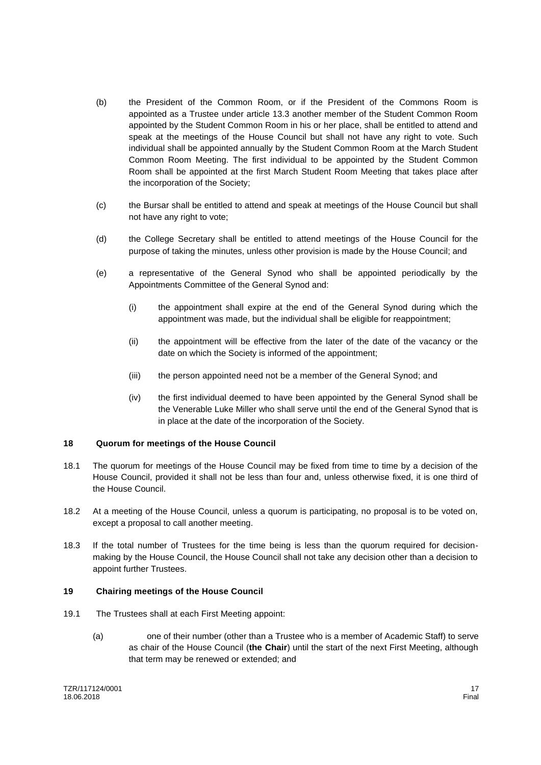- (b) the President of the Common Room, or if the President of the Commons Room is appointed as a Trustee under article 13.3 another member of the Student Common Room appointed by the Student Common Room in his or her place, shall be entitled to attend and speak at the meetings of the House Council but shall not have any right to vote. Such individual shall be appointed annually by the Student Common Room at the March Student Common Room Meeting. The first individual to be appointed by the Student Common Room shall be appointed at the first March Student Room Meeting that takes place after the incorporation of the Society;
- (c) the Bursar shall be entitled to attend and speak at meetings of the House Council but shall not have any right to vote;
- (d) the College Secretary shall be entitled to attend meetings of the House Council for the purpose of taking the minutes, unless other provision is made by the House Council; and
- (e) a representative of the General Synod who shall be appointed periodically by the Appointments Committee of the General Synod and:
	- (i) the appointment shall expire at the end of the General Synod during which the appointment was made, but the individual shall be eligible for reappointment;
	- (ii) the appointment will be effective from the later of the date of the vacancy or the date on which the Society is informed of the appointment;
	- (iii) the person appointed need not be a member of the General Synod; and
	- (iv) the first individual deemed to have been appointed by the General Synod shall be the Venerable Luke Miller who shall serve until the end of the General Synod that is in place at the date of the incorporation of the Society.

#### **18 Quorum for meetings of the House Council**

- 18.1 The quorum for meetings of the House Council may be fixed from time to time by a decision of the House Council, provided it shall not be less than four and, unless otherwise fixed, it is one third of the House Council.
- 18.2 At a meeting of the House Council, unless a quorum is participating, no proposal is to be voted on, except a proposal to call another meeting.
- 18.3 If the total number of Trustees for the time being is less than the quorum required for decisionmaking by the House Council, the House Council shall not take any decision other than a decision to appoint further Trustees.

#### **19 Chairing meetings of the House Council**

- 19.1 The Trustees shall at each First Meeting appoint:
	- (a) one of their number (other than a Trustee who is a member of Academic Staff) to serve as chair of the House Council (**the Chair**) until the start of the next First Meeting, although that term may be renewed or extended; and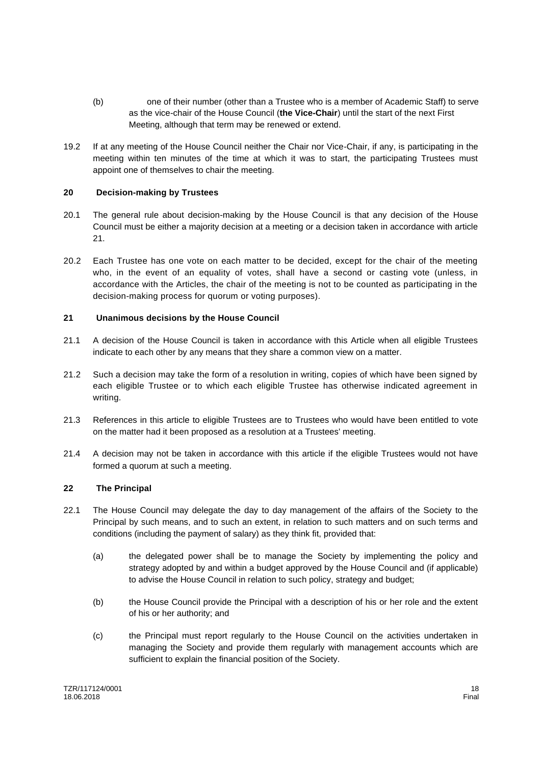- (b) one of their number (other than a Trustee who is a member of Academic Staff) to serve as the vice-chair of the House Council (**the Vice-Chair**) until the start of the next First Meeting, although that term may be renewed or extend.
- 19.2 If at any meeting of the House Council neither the Chair nor Vice-Chair, if any, is participating in the meeting within ten minutes of the time at which it was to start, the participating Trustees must appoint one of themselves to chair the meeting.

# **20 Decision-making by Trustees**

- 20.1 The general rule about decision-making by the House Council is that any decision of the House Council must be either a majority decision at a meeting or a decision taken in accordance with article  $21$
- 20.2 Each Trustee has one vote on each matter to be decided, except for the chair of the meeting who, in the event of an equality of votes, shall have a second or casting vote (unless, in accordance with the Articles, the chair of the meeting is not to be counted as participating in the decision-making process for quorum or voting purposes).

# **21 Unanimous decisions by the House Council**

- 21.1 A decision of the House Council is taken in accordance with this Article when all eligible Trustees indicate to each other by any means that they share a common view on a matter.
- 21.2 Such a decision may take the form of a resolution in writing, copies of which have been signed by each eligible Trustee or to which each eligible Trustee has otherwise indicated agreement in writing.
- 21.3 References in this article to eligible Trustees are to Trustees who would have been entitled to vote on the matter had it been proposed as a resolution at a Trustees' meeting.
- 21.4 A decision may not be taken in accordance with this article if the eligible Trustees would not have formed a quorum at such a meeting.

#### **22 The Principal**

- 22.1 The House Council may delegate the day to day management of the affairs of the Society to the Principal by such means, and to such an extent, in relation to such matters and on such terms and conditions (including the payment of salary) as they think fit, provided that:
	- (a) the delegated power shall be to manage the Society by implementing the policy and strategy adopted by and within a budget approved by the House Council and (if applicable) to advise the House Council in relation to such policy, strategy and budget;
	- (b) the House Council provide the Principal with a description of his or her role and the extent of his or her authority; and
	- (c) the Principal must report regularly to the House Council on the activities undertaken in managing the Society and provide them regularly with management accounts which are sufficient to explain the financial position of the Society.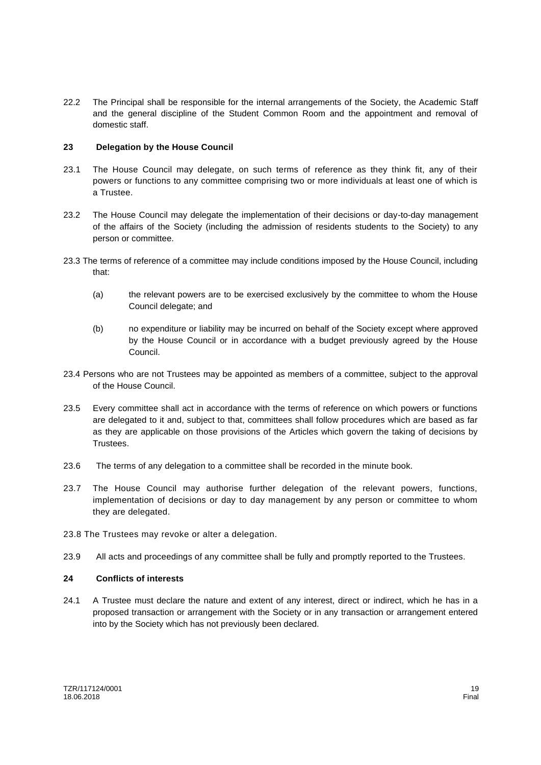22.2 The Principal shall be responsible for the internal arrangements of the Society, the Academic Staff and the general discipline of the Student Common Room and the appointment and removal of domestic staff.

# **23 Delegation by the House Council**

- 23.1 The House Council may delegate, on such terms of reference as they think fit, any of their powers or functions to any committee comprising two or more individuals at least one of which is a Trustee.
- 23.2 The House Council may delegate the implementation of their decisions or day-to-day management of the affairs of the Society (including the admission of residents students to the Society) to any person or committee.
- 23.3 The terms of reference of a committee may include conditions imposed by the House Council, including that:
	- (a) the relevant powers are to be exercised exclusively by the committee to whom the House Council delegate; and
	- (b) no expenditure or liability may be incurred on behalf of the Society except where approved by the House Council or in accordance with a budget previously agreed by the House Council.
- 23.4 Persons who are not Trustees may be appointed as members of a committee, subject to the approval of the House Council.
- 23.5 Every committee shall act in accordance with the terms of reference on which powers or functions are delegated to it and, subject to that, committees shall follow procedures which are based as far as they are applicable on those provisions of the Articles which govern the taking of decisions by Trustees.
- 23.6 The terms of any delegation to a committee shall be recorded in the minute book.
- 23.7 The House Council may authorise further delegation of the relevant powers, functions, implementation of decisions or day to day management by any person or committee to whom they are delegated.
- 23.8 The Trustees may revoke or alter a delegation.
- 23.9 All acts and proceedings of any committee shall be fully and promptly reported to the Trustees.

#### **24 Conflicts of interests**

24.1 A Trustee must declare the nature and extent of any interest, direct or indirect, which he has in a proposed transaction or arrangement with the Society or in any transaction or arrangement entered into by the Society which has not previously been declared.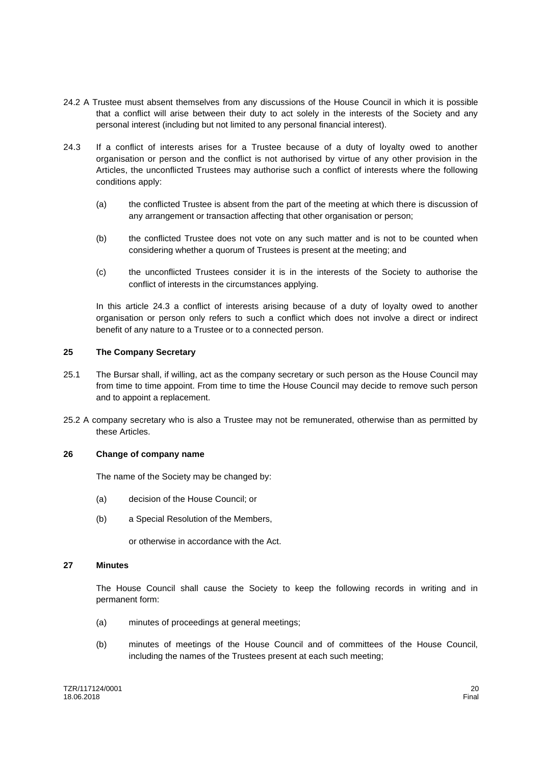- 24.2 A Trustee must absent themselves from any discussions of the House Council in which it is possible that a conflict will arise between their duty to act solely in the interests of the Society and any personal interest (including but not limited to any personal financial interest).
- 24.3 If a conflict of interests arises for a Trustee because of a duty of loyalty owed to another organisation or person and the conflict is not authorised by virtue of any other provision in the Articles, the unconflicted Trustees may authorise such a conflict of interests where the following conditions apply:
	- (a) the conflicted Trustee is absent from the part of the meeting at which there is discussion of any arrangement or transaction affecting that other organisation or person;
	- (b) the conflicted Trustee does not vote on any such matter and is not to be counted when considering whether a quorum of Trustees is present at the meeting; and
	- (c) the unconflicted Trustees consider it is in the interests of the Society to authorise the conflict of interests in the circumstances applying.

In this article 24.3 a conflict of interests arising because of a duty of loyalty owed to another organisation or person only refers to such a conflict which does not involve a direct or indirect benefit of any nature to a Trustee or to a connected person.

#### **25 The Company Secretary**

- 25.1 The Bursar shall, if willing, act as the company secretary or such person as the House Council may from time to time appoint. From time to time the House Council may decide to remove such person and to appoint a replacement.
- 25.2 A company secretary who is also a Trustee may not be remunerated, otherwise than as permitted by these Articles.

#### **26 Change of company name**

The name of the Society may be changed by:

- (a) decision of the House Council; or
- (b) a Special Resolution of the Members,

or otherwise in accordance with the Act.

#### **27 Minutes**

The House Council shall cause the Society to keep the following records in writing and in permanent form:

- (a) minutes of proceedings at general meetings;
- (b) minutes of meetings of the House Council and of committees of the House Council, including the names of the Trustees present at each such meeting;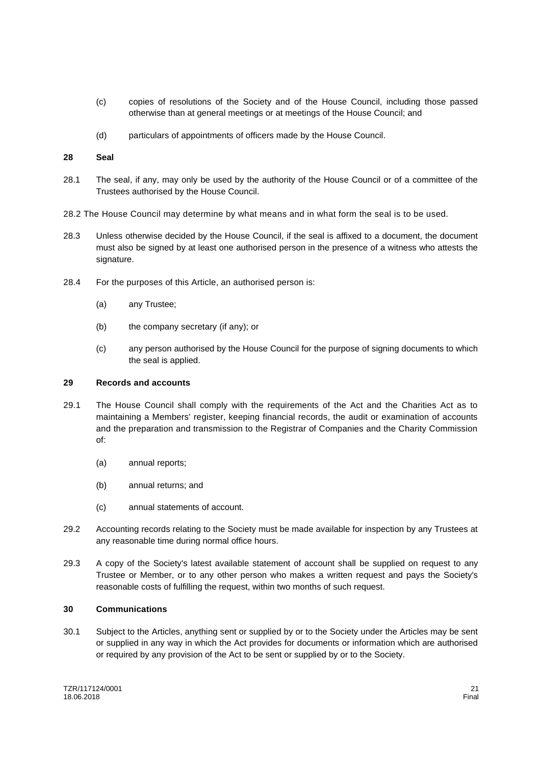- (c) copies of resolutions of the Society and of the House Council, including those passed otherwise than at general meetings or at meetings of the House Council; and
- (d) particulars of appointments of officers made by the House Council.

#### **28 Seal**

- 28.1 The seal, if any, may only be used by the authority of the House Council or of a committee of the Trustees authorised by the House Council.
- 28.2 The House Council may determine by what means and in what form the seal is to be used.
- 28.3 Unless otherwise decided by the House Council, if the seal is affixed to a document, the document must also be signed by at least one authorised person in the presence of a witness who attests the signature.
- 28.4 For the purposes of this Article, an authorised person is:
	- (a) any Trustee;
	- (b) the company secretary (if any); or
	- (c) any person authorised by the House Council for the purpose of signing documents to which the seal is applied.

#### **29 Records and accounts**

- 29.1 The House Council shall comply with the requirements of the Act and the Charities Act as to maintaining a Members' register, keeping financial records, the audit or examination of accounts and the preparation and transmission to the Registrar of Companies and the Charity Commission of:
	- (a) annual reports;
	- (b) annual returns; and
	- (c) annual statements of account.
- 29.2 Accounting records relating to the Society must be made available for inspection by any Trustees at any reasonable time during normal office hours.
- 29.3 A copy of the Society's latest available statement of account shall be supplied on request to any Trustee or Member, or to any other person who makes a written request and pays the Society's reasonable costs of fulfilling the request, within two months of such request.

#### **30 Communications**

30.1 Subject to the Articles, anything sent or supplied by or to the Society under the Articles may be sent or supplied in any way in which the Act provides for documents or information which are authorised or required by any provision of the Act to be sent or supplied by or to the Society.